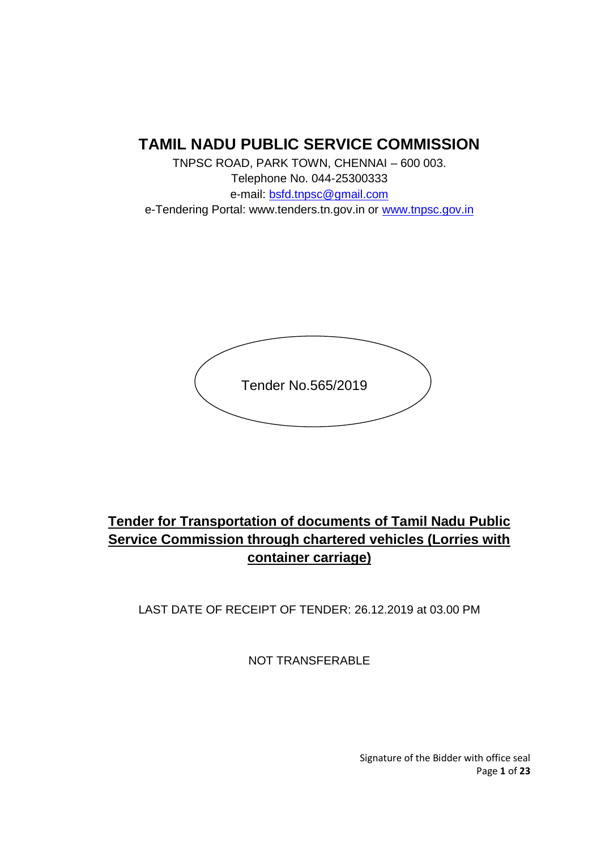## **TAMIL NADU PUBLIC SERVICE COMMISSION**

TNPSC ROAD, PARK TOWN, CHENNAI – 600 003. Telephone No. 044-25300333 e-mail: bsfd.tnpsc@gmail.com e-Tendering Portal: www.tenders.tn.gov.in or www.tnpsc.gov.in



# **Tender for Transportation of documents of Tamil Nadu Public Service Commission through chartered vehicles (Lorries with container carriage)**

LAST DATE OF RECEIPT OF TENDER: 26.12.2019 at 03.00 PM

NOT TRANSFERABLE

Signature of the Bidder with office seal Page **1** of **23**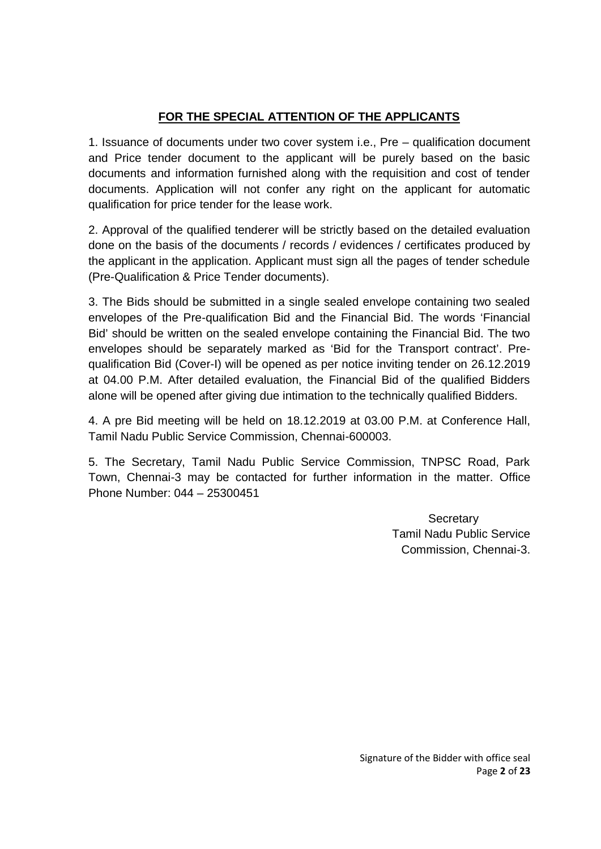## **FOR THE SPECIAL ATTENTION OF THE APPLICANTS**

1. Issuance of documents under two cover system i.e., Pre – qualification document and Price tender document to the applicant will be purely based on the basic documents and information furnished along with the requisition and cost of tender documents. Application will not confer any right on the applicant for automatic qualification for price tender for the lease work.

2. Approval of the qualified tenderer will be strictly based on the detailed evaluation done on the basis of the documents / records / evidences / certificates produced by the applicant in the application. Applicant must sign all the pages of tender schedule (Pre-Qualification & Price Tender documents).

3. The Bids should be submitted in a single sealed envelope containing two sealed envelopes of the Pre-qualification Bid and the Financial Bid. The words 'Financial Bid' should be written on the sealed envelope containing the Financial Bid. The two envelopes should be separately marked as 'Bid for the Transport contract'. Pre qualification Bid (Cover-I) will be opened as per notice inviting tender on 26.12.2019 at 04.00 P.M. After detailed evaluation, the Financial Bid of the qualified Bidders alone will be opened after giving due intimation to the technically qualified Bidders.

4. A pre Bid meeting will be held on 18.12.2019 at 03.00 P.M. at Conference Hall, Tamil Nadu Public Service Commission, Chennai-600003.

5. The Secretary, Tamil Nadu Public Service Commission, TNPSC Road, Park Town, Chennai-3 may be contacted for further information in the matter. Office Phone Number: 044 – 25300451

> **Secretary** Tamil Nadu Public Service Commission, Chennai-3.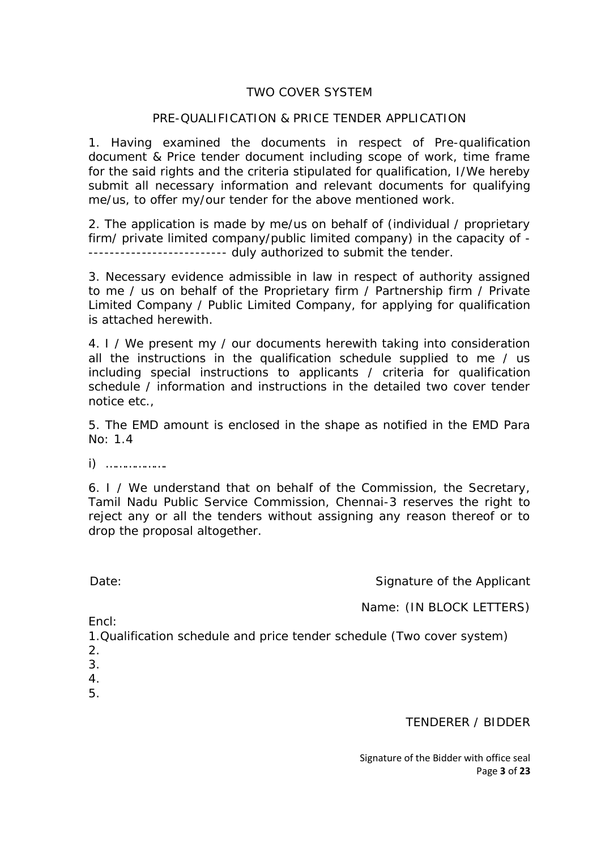#### TWO COVER SYSTEM

#### PRE-QUALIFICATION & PRICE TENDER APPLICATION

1. Having examined the documents in respect of Pre-qualification document & Price tender document including scope of work, time frame for the said rights and the criteria stipulated for qualification, I/We hereby submit all necessary information and relevant documents for qualifying me/us, to offer my/our tender for the above mentioned work.

2. The application is made by me/us on behalf of (individual / proprietary firm/ private limited company/public limited company) in the capacity of - -------------------------- duly authorized to submit the tender.

3. Necessary evidence admissible in law in respect of authority assigned to me / us on behalf of the Proprietary firm / Partnership firm / Private Limited Company / Public Limited Company, for applying for qualification is attached herewith.

4. I / We present my / our documents herewith taking into consideration all the instructions in the qualification schedule supplied to me / us including special instructions to applicants / criteria for qualification schedule / information and instructions in the detailed two cover tender notice etc.,

5. The EMD amount is enclosed in the shape as notified in the EMD Para No: 1.4

i) ……………….

6. I / We understand that on behalf of the Commission, the Secretary, Tamil Nadu Public Service Commission, Chennai-3 reserves the right to reject any or all the tenders without assigning any reason thereof or to drop the proposal altogether.

Date: Date: Signature of the Applicant

Name: (IN BLOCK LETTERS)

Encl:

1.Qualification schedule and price tender schedule (Two cover system)

- 2.
- 3.
- 4.
- 5.

TENDERER / BIDDER

Signature of the Bidder with office seal Page **3** of **23**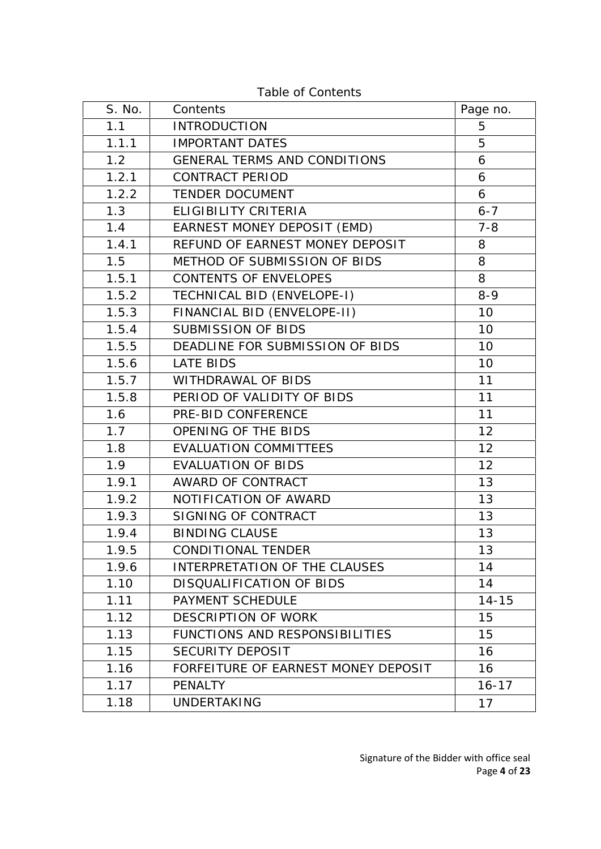| S. No. | Contents                            | Page no.        |
|--------|-------------------------------------|-----------------|
| 1.1    | <b>INTRODUCTION</b>                 | 5               |
| 1.1.1  | <b>IMPORTANT DATES</b>              | 5               |
| 1.2    | <b>GENERAL TERMS AND CONDITIONS</b> | 6               |
| 1.2.1  | <b>CONTRACT PERIOD</b>              | 6               |
| 1.2.2  | <b>TENDER DOCUMENT</b>              | 6               |
| 1.3    | ELIGIBILITY CRITERIA                | $6 - 7$         |
| 1.4    | EARNEST MONEY DEPOSIT (EMD)         | $7 - 8$         |
| 1.4.1  | REFUND OF EARNEST MONEY DEPOSIT     | 8               |
| 1.5    | METHOD OF SUBMISSION OF BIDS        | 8               |
| 1.5.1  | CONTENTS OF ENVELOPES               | 8               |
| 1.5.2  | TECHNICAL BID (ENVELOPE-I)          | $8 - 9$         |
| 1.5.3  | FINANCIAL BID (ENVELOPE-II)         | 10              |
| 1.5.4  | <b>SUBMISSION OF BIDS</b>           | 10 <sup>°</sup> |
| 1.5.5  | DEADLINE FOR SUBMISSION OF BIDS     | 10              |
| 1.5.6  | <b>LATE BIDS</b>                    | 10              |
| 1.5.7  | WITHDRAWAL OF BIDS                  | 11              |
| 1.5.8  | PERIOD OF VALIDITY OF BIDS          | 11              |
| 1.6    | PRE-BID CONFERENCE                  | 11              |
| 1.7    | OPENING OF THE BIDS                 | 12              |
| 1.8    | <b>EVALUATION COMMITTEES</b>        | 12              |
| 1.9    | <b>EVALUATION OF BIDS</b>           | 12              |
| 1.9.1  | AWARD OF CONTRACT                   | 13              |
| 1.9.2  | NOTIFICATION OF AWARD               | 13              |
| 1.9.3  | SIGNING OF CONTRACT                 | 13              |
| 1.9.4  | <b>BINDING CLAUSE</b>               | 13              |
| 1.9.5  | CONDITIONAL TENDER                  | 13              |
| 1.9.6  | INTERPRETATION OF THE CLAUSES       | 14              |
| 1.10   | DISQUALIFICATION OF BIDS            | 14              |
| 1.11   | PAYMENT SCHEDULE                    | $14 - 15$       |
| 1.12   | <b>DESCRIPTION OF WORK</b>          | 15              |
| 1.13   | FUNCTIONS AND RESPONSIBILITIES      | 15              |
| 1.15   | <b>SECURITY DEPOSIT</b>             | 16              |
| 1.16   | FORFEITURE OF EARNEST MONEY DEPOSIT | 16              |
| 1.17   | <b>PENALTY</b>                      | $16 - 17$       |
| 1.18   | <b>UNDERTAKING</b>                  | 17              |

Table of Contents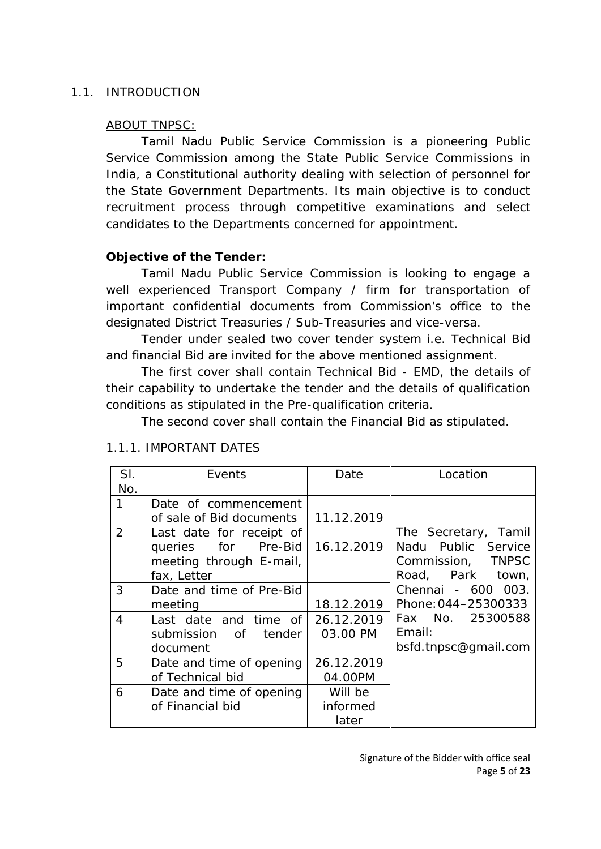#### 1.1. INTRODUCTION

### ABOUT TNPSC:

Tamil Nadu Public Service Commission is a pioneering Public Service Commission among the State Public Service Commissions in India, a Constitutional authority dealing with selection of personnel for the State Government Departments. Its main objective is to conduct recruitment process through competitive examinations and select candidates to the Departments concerned for appointment.

## **Objective of the Tender:**

Tamil Nadu Public Service Commission is looking to engage a well experienced Transport Company / firm for transportation of important confidential documents from Commission's office to the designated District Treasuries / Sub-Treasuries and vice-versa.

Tender under sealed two cover tender system i.e. Technical Bid and financial Bid are invited for the above mentioned assignment.

The first cover shall contain Technical Bid - EMD, the details of their capability to undertake the tender and the details of qualification conditions as stipulated in the Pre-qualification criteria.

The second cover shall contain the Financial Bid as stipulated.

| SI. | Events                   | Date       | Location             |
|-----|--------------------------|------------|----------------------|
| No. |                          |            |                      |
| 1   | Date of commencement     |            |                      |
|     | of sale of Bid documents | 11.12.2019 |                      |
| 2   | Last date for receipt of |            | The Secretary, Tamil |
|     | queries for Pre-Bid      | 16.12.2019 | Nadu Public Service  |
|     | meeting through E-mail,  |            | Commission, TNPSC    |
|     | fax, Letter              |            | Road, Park town,     |
| 3   | Date and time of Pre-Bid |            | Chennai - 600 003.   |
|     | meeting                  | 18.12.2019 | Phone: 044-25300333  |
| 4   | Last date and time of    | 26.12.2019 | Fax No. 25300588     |
|     | submission of tender     | 03.00 PM   | Email:               |
|     | document                 |            | bsfd.tnpsc@gmail.com |
| 5   | Date and time of opening | 26.12.2019 |                      |
|     | of Technical bid         | 04.00PM    |                      |
| 6   | Date and time of opening | Will be    |                      |
|     | of Financial bid         | informed   |                      |
|     |                          | later      |                      |

## 1.1.1. IMPORTANT DATES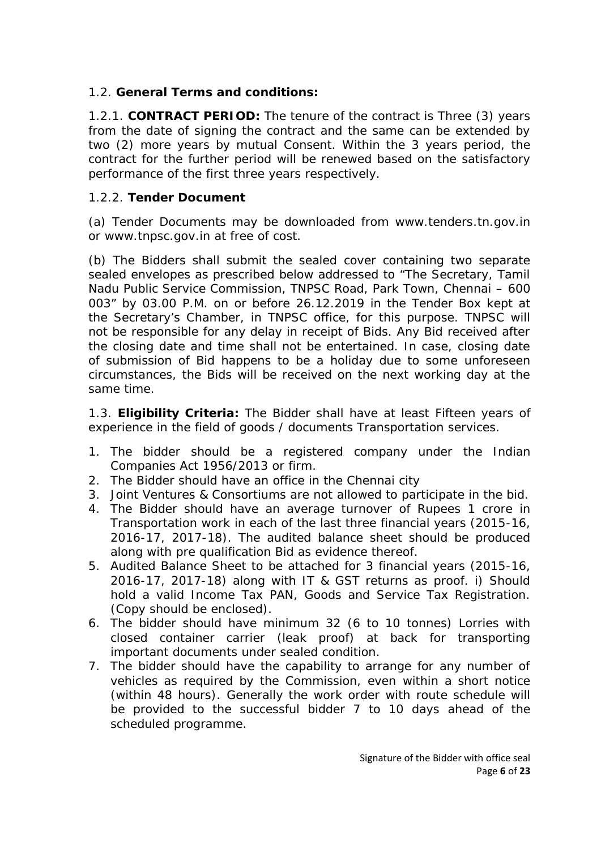1.2. **General Terms and conditions:**

1.2.1. **CONTRACT PERIOD:** The tenure of the contract is Three (3) years from the date of signing the contract and the same can be extended by two (2) more years by mutual Consent. Within the 3 years period, the contract for the further period will be renewed based on the satisfactory performance of the first three years respectively.

#### 1.2.2. **Tender Document**

(a) Tender Documents may be downloaded from www.tenders.tn.gov.in or www.tnpsc.gov.in at free of cost.

(b) The Bidders shall submit the sealed cover containing two separate sealed envelopes as prescribed below addressed to "The Secretary, Tamil Nadu Public Service Commission, TNPSC Road, Park Town, Chennai – 600 003" by 03.00 P.M. on or before 26.12.2019 in the Tender Box kept at the Secretary's Chamber, in TNPSC office, for this purpose. TNPSC will not be responsible for any delay in receipt of Bids. Any Bid received after the closing date and time shall not be entertained. In case, closing date of submission of Bid happens to be a holiday due to some unforeseen circumstances, the Bids will be received on the next working day at the same time.

1.3. **Eligibility Criteria:** The Bidder shall have at least Fifteen years of experience in the field of goods / documents Transportation services.

- 1. The bidder should be a registered company under the Indian Companies Act 1956/2013 or firm.
- 2. The Bidder should have an office in the Chennai city
- 3. Joint Ventures & Consortiums are not allowed to participate in the bid.
- 4. The Bidder should have an average turnover of Rupees 1 crore in Transportation work in each of the last three financial years (2015-16, 2016-17, 2017-18). The audited balance sheet should be produced along with pre qualification Bid as evidence thereof.
- 5. Audited Balance Sheet to be attached for 3 financial years (2015-16, 2016-17, 2017-18) along with IT & GST returns as proof. i) Should hold a valid Income Tax PAN, Goods and Service Tax Registration. (Copy should be enclosed).
- 6. The bidder should have minimum 32 (6 to 10 tonnes) Lorries with closed container carrier (leak proof) at back for transporting important documents under sealed condition.
- 7. The bidder should have the capability to arrange for any number of vehicles as required by the Commission, even within a short notice (within 48 hours). Generally the work order with route schedule will be provided to the successful bidder 7 to 10 days ahead of the scheduled programme.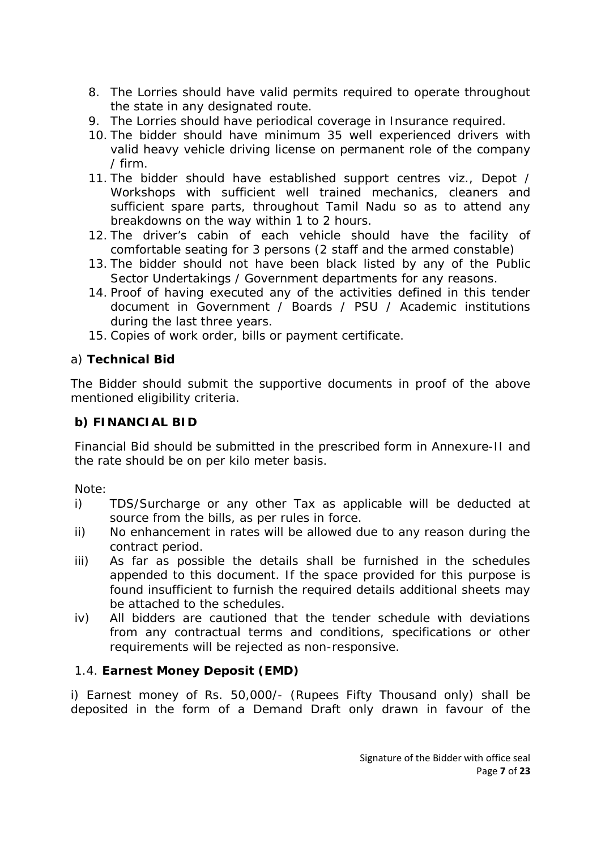- 8. The Lorries should have valid permits required to operate throughout the state in any designated route.
- 9. The Lorries should have periodical coverage in Insurance required.
- 10. The bidder should have minimum 35 well experienced drivers with valid heavy vehicle driving license on permanent role of the company / firm.
- 11. The bidder should have established support centres viz., Depot / Workshops with sufficient well trained mechanics, cleaners and sufficient spare parts, throughout Tamil Nadu so as to attend any breakdowns on the way within 1 to 2 hours.
- 12. The driver's cabin of each vehicle should have the facility of comfortable seating for 3 persons (2 staff and the armed constable)
- 13. The bidder should not have been black listed by any of the Public Sector Undertakings / Government departments for any reasons.
- 14. Proof of having executed any of the activities defined in this tender document in Government / Boards / PSU / Academic institutions during the last three years.
- 15. Copies of work order, bills or payment certificate.
- a) **Technical Bid**

The Bidder should submit the supportive documents in proof of the above mentioned eligibility criteria.

**b) FINANCIAL BID**

Financial Bid should be submitted in the prescribed form in Annexure-II and the rate should be on per kilo meter basis.

Note:

- i) TDS/Surcharge or any other Tax as applicable will be deducted at source from the bills, as per rules in force.
- ii) No enhancement in rates will be allowed due to any reason during the contract period.
- iii) As far as possible the details shall be furnished in the schedules appended to this document. If the space provided for this purpose is found insufficient to furnish the required details additional sheets may be attached to the schedules.
- iv) All bidders are cautioned that the tender schedule with deviations from any contractual terms and conditions, specifications or other requirements will be rejected as non-responsive.
- 1.4. **Earnest Money Deposit (EMD)**

i) Earnest money of Rs. 50,000/- (Rupees Fifty Thousand only) shall be deposited in the form of a Demand Draft only drawn in favour of the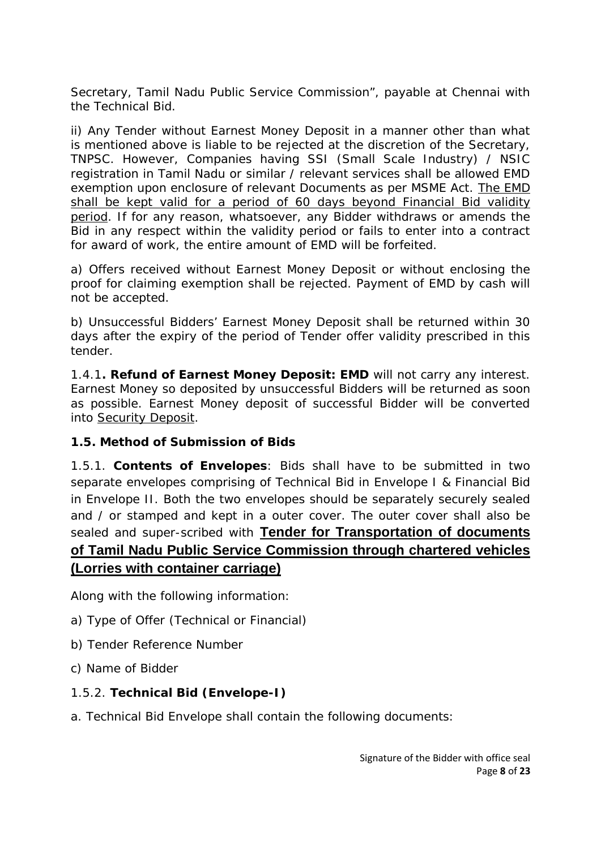Secretary, Tamil Nadu Public Service Commission", payable at Chennai with the Technical Bid.

ii) Any Tender without Earnest Money Deposit in a manner other than what is mentioned above is liable to be rejected at the discretion of the Secretary, TNPSC. However, Companies having SSI (Small Scale Industry) / NSIC registration in Tamil Nadu or similar / relevant services shall be allowed EMD exemption upon enclosure of relevant Documents as per MSME Act. The EMD shall be kept valid for a period of 60 days beyond Financial Bid validity period. If for any reason, whatsoever, any Bidder withdraws or amends the Bid in any respect within the validity period or fails to enter into a contract for award of work, the entire amount of EMD will be forfeited.

a) Offers received without Earnest Money Deposit or without enclosing the proof for claiming exemption shall be rejected. Payment of EMD by cash will not be accepted.

b) Unsuccessful Bidders' Earnest Money Deposit shall be returned within 30 days after the expiry of the period of Tender offer validity prescribed in this tender.

1.4.1**. Refund of Earnest Money Deposit: EMD** will not carry any interest. Earnest Money so deposited by unsuccessful Bidders will be returned as soon as possible. Earnest Money deposit of successful Bidder will be converted into Security Deposit.

**1.5. Method of Submission of Bids**

1.5.1. **Contents of Envelopes**: Bids shall have to be submitted in two separate envelopes comprising of Technical Bid in Envelope I & Financial Bid in Envelope II. Both the two envelopes should be separately securely sealed and / or stamped and kept in a outer cover. The outer cover shall also be sealed and super-scribed with **Tender for Transportation of documents of Tamil Nadu Public Service Commission through chartered vehicles (Lorries with container carriage)**

Along with the following information:

- a) Type of Offer (Technical or Financial)
- b) Tender Reference Number
- c) Name of Bidder
- 1.5.2. **Technical Bid (Envelope-I)**
- a. Technical Bid Envelope shall contain the following documents: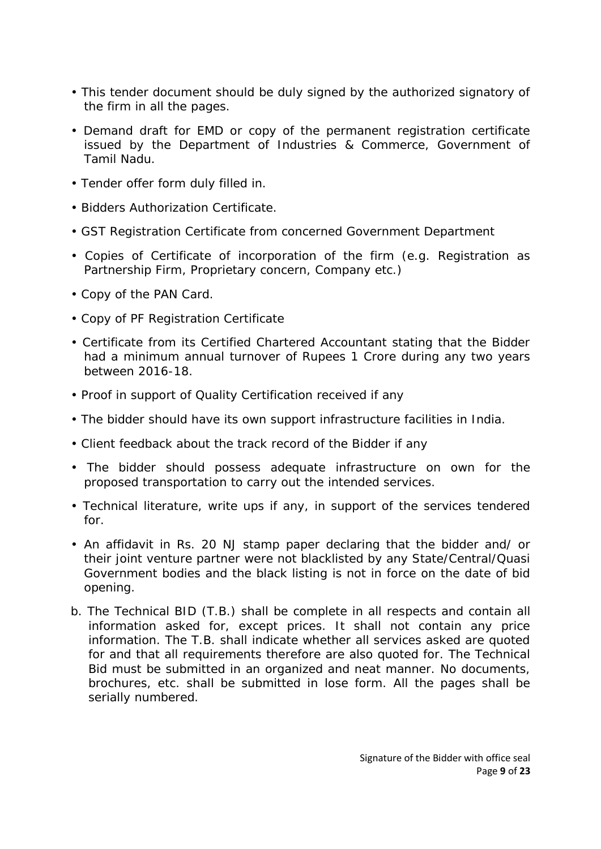- This tender document should be duly signed by the authorized signatory of the firm in all the pages.
- Demand draft for EMD or copy of the permanent registration certificate issued by the Department of Industries & Commerce, Government of Tamil Nadu.
- Tender offer form duly filled in.
- Bidders Authorization Certificate.
- GST Registration Certificate from concerned Government Department
- Copies of Certificate of incorporation of the firm (e.g. Registration as Partnership Firm, Proprietary concern, Company etc.)
- Copy of the PAN Card.
- Copy of PF Registration Certificate
- Certificate from its Certified Chartered Accountant stating that the Bidder had a minimum annual turnover of Rupees 1 Crore during any two years between 2016-18.
- Proof in support of Quality Certification received if any
- The bidder should have its own support infrastructure facilities in India.
- Client feedback about the track record of the Bidder if any
- The bidder should possess adequate infrastructure on own for the proposed transportation to carry out the intended services.
- Technical literature, write ups if any, in support of the services tendered for.
- An affidavit in Rs. 20 NJ stamp paper declaring that the bidder and/ or their joint venture partner were not blacklisted by any State/Central/Quasi Government bodies and the black listing is not in force on the date of bid opening.
- b. The Technical BID (T.B.) shall be complete in all respects and contain all information asked for, except prices. It shall not contain any price information. The T.B. shall indicate whether all services asked are quoted for and that all requirements therefore are also quoted for. The Technical Bid must be submitted in an organized and neat manner. No documents, brochures, etc. shall be submitted in lose form. All the pages shall be serially numbered.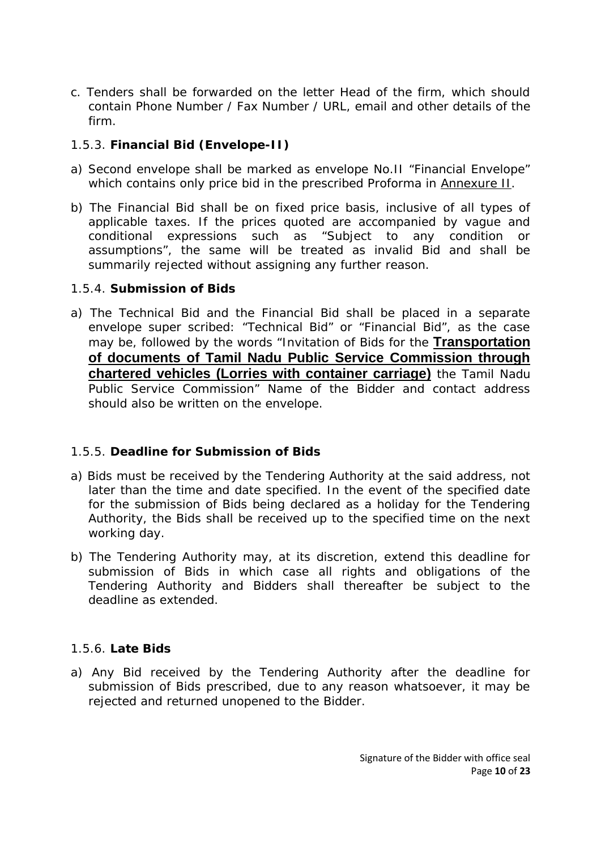- c. Tenders shall be forwarded on the letter Head of the firm, which should contain Phone Number / Fax Number / URL, email and other details of the firm.
- 1.5.3. **Financial Bid (Envelope-II)**
- a) Second envelope shall be marked as envelope No.II "Financial Envelope" which contains only price bid in the prescribed Proforma in Annexure II.
- b) The Financial Bid shall be on fixed price basis, inclusive of all types of applicable taxes. If the prices quoted are accompanied by vague and conditional expressions such as "Subject to any condition or assumptions", the same will be treated as invalid Bid and shall be summarily rejected without assigning any further reason.
- 1.5.4. **Submission of Bids**
- a) The Technical Bid and the Financial Bid shall be placed in a separate envelope super scribed: "Technical Bid" or "Financial Bid", as the case may be, followed by the words "Invitation of Bids for the **Transportation of documents of Tamil Nadu Public Service Commission through chartered vehicles (Lorries with container carriage)** the Tamil Nadu Public Service Commission" Name of the Bidder and contact address should also be written on the envelope.

## 1.5.5. **Deadline for Submission of Bids**

- a) Bids must be received by the Tendering Authority at the said address, not later than the time and date specified. In the event of the specified date for the submission of Bids being declared as a holiday for the Tendering Authority, the Bids shall be received up to the specified time on the next working day.
- b) The Tendering Authority may, at its discretion, extend this deadline for submission of Bids in which case all rights and obligations of the Tendering Authority and Bidders shall thereafter be subject to the deadline as extended.

#### 1.5.6. **Late Bids**

a) Any Bid received by the Tendering Authority after the deadline for submission of Bids prescribed, due to any reason whatsoever, it may be rejected and returned unopened to the Bidder.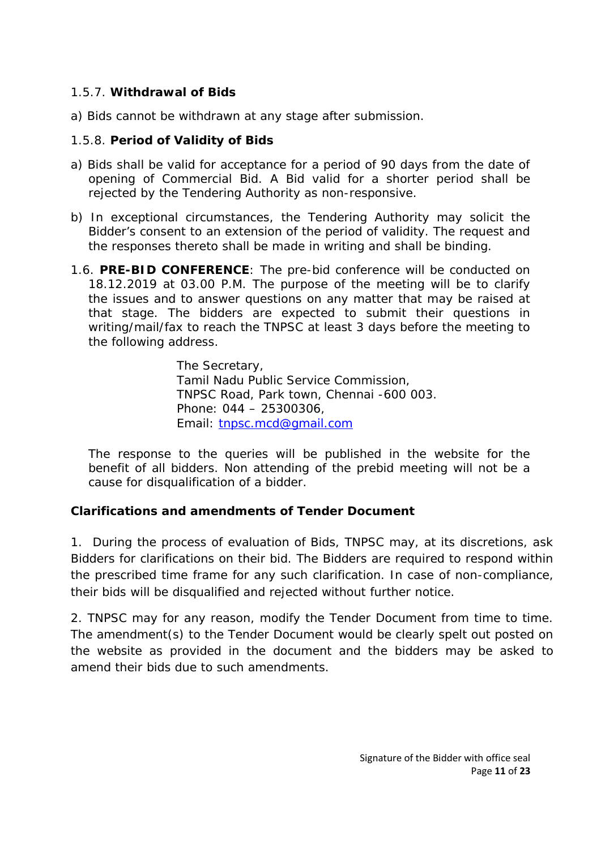- 1.5.7. **Withdrawal of Bids**
- a) Bids cannot be withdrawn at any stage after submission.
- 1.5.8. **Period of Validity of Bids**
- a) Bids shall be valid for acceptance for a period of 90 days from the date of opening of Commercial Bid. A Bid valid for a shorter period shall be rejected by the Tendering Authority as non-responsive.
- b) In exceptional circumstances, the Tendering Authority may solicit the Bidder's consent to an extension of the period of validity. The request and the responses thereto shall be made in writing and shall be binding.
- 1.6. **PRE-BID CONFERENCE**: The pre-bid conference will be conducted on 18.12.2019 at 03.00 P.M. The purpose of the meeting will be to clarify the issues and to answer questions on any matter that may be raised at that stage. The bidders are expected to submit their questions in writing/mail/fax to reach the TNPSC at least 3 days before the meeting to the following address.

The Secretary, Tamil Nadu Public Service Commission, TNPSC Road, Park town, Chennai -600 003. Phone: 044 – 25300306, Email: tnpsc.mcd@gmail.com

The response to the queries will be published in the website for the benefit of all bidders. Non attending of the prebid meeting will not be a cause for disqualification of a bidder.

**Clarifications and amendments of Tender Document**

1. During the process of evaluation of Bids, TNPSC may, at its discretions, ask Bidders for clarifications on their bid. The Bidders are required to respond within the prescribed time frame for any such clarification. In case of non-compliance, their bids will be disqualified and rejected without further notice.

2. TNPSC may for any reason, modify the Tender Document from time to time. The amendment(s) to the Tender Document would be clearly spelt out posted on the website as provided in the document and the bidders may be asked to amend their bids due to such amendments.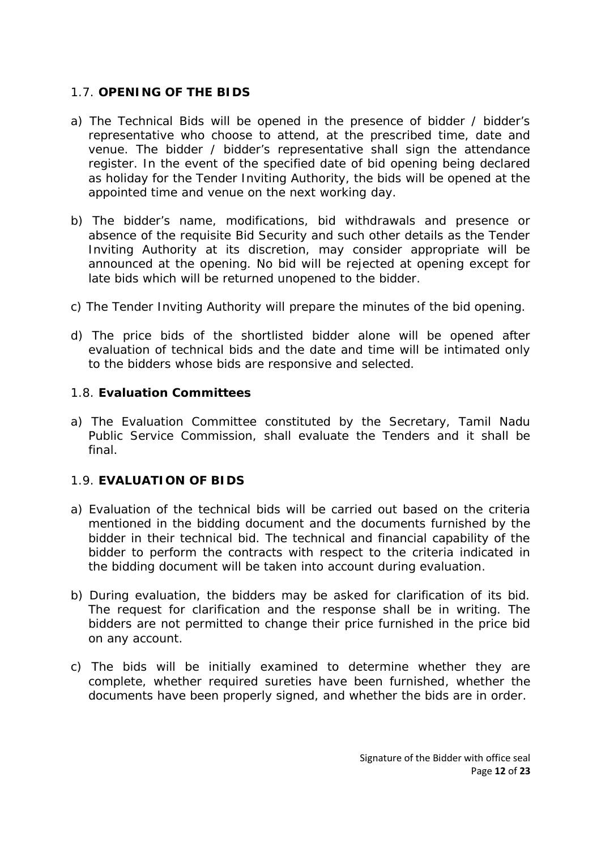## 1.7. **OPENING OF THE BIDS**

- a) The Technical Bids will be opened in the presence of bidder / bidder's representative who choose to attend, at the prescribed time, date and venue. The bidder / bidder's representative shall sign the attendance register. In the event of the specified date of bid opening being declared as holiday for the Tender Inviting Authority, the bids will be opened at the appointed time and venue on the next working day.
- b) The bidder's name, modifications, bid withdrawals and presence or absence of the requisite Bid Security and such other details as the Tender Inviting Authority at its discretion, may consider appropriate will be announced at the opening. No bid will be rejected at opening except for late bids which will be returned unopened to the bidder.
- c) The Tender Inviting Authority will prepare the minutes of the bid opening.
- d) The price bids of the shortlisted bidder alone will be opened after evaluation of technical bids and the date and time will be intimated only to the bidders whose bids are responsive and selected.
- 1.8. **Evaluation Committees**
- a) The Evaluation Committee constituted by the Secretary, Tamil Nadu Public Service Commission, shall evaluate the Tenders and it shall be final.
- 1.9. **EVALUATION OF BIDS**
- a) Evaluation of the technical bids will be carried out based on the criteria mentioned in the bidding document and the documents furnished by the bidder in their technical bid. The technical and financial capability of the bidder to perform the contracts with respect to the criteria indicated in the bidding document will be taken into account during evaluation.
- b) During evaluation, the bidders may be asked for clarification of its bid. The request for clarification and the response shall be in writing. The bidders are not permitted to change their price furnished in the price bid on any account.
- c) The bids will be initially examined to determine whether they are complete, whether required sureties have been furnished, whether the documents have been properly signed, and whether the bids are in order.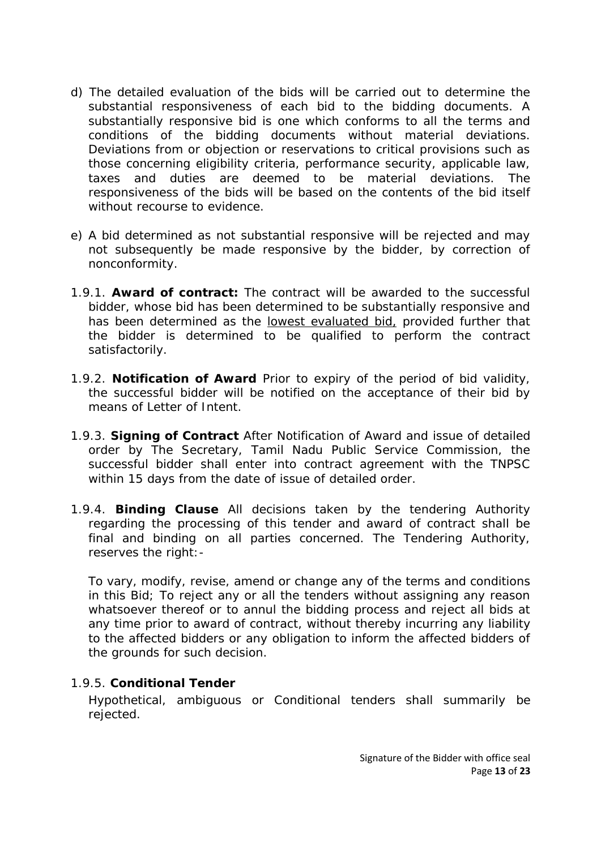- d) The detailed evaluation of the bids will be carried out to determine the substantial responsiveness of each bid to the bidding documents. A substantially responsive bid is one which conforms to all the terms and conditions of the bidding documents without material deviations. Deviations from or objection or reservations to critical provisions such as those concerning eligibility criteria, performance security, applicable law, taxes and duties are deemed to be material deviations. The responsiveness of the bids will be based on the contents of the bid itself without recourse to evidence.
- e) A bid determined as not substantial responsive will be rejected and may not subsequently be made responsive by the bidder, by correction of nonconformity.
- 1.9.1. **Award of contract:** The contract will be awarded to the successful bidder, whose bid has been determined to be substantially responsive and has been determined as the lowest evaluated bid, provided further that the bidder is determined to be qualified to perform the contract satisfactorily.
- 1.9.2. **Notification of Award** Prior to expiry of the period of bid validity, the successful bidder will be notified on the acceptance of their bid by means of Letter of Intent.
- 1.9.3. **Signing of Contract** After Notification of Award and issue of detailed order by The Secretary, Tamil Nadu Public Service Commission, the successful bidder shall enter into contract agreement with the TNPSC within 15 days from the date of issue of detailed order.
- 1.9.4. **Binding Clause** All decisions taken by the tendering Authority regarding the processing of this tender and award of contract shall be final and binding on all parties concerned. The Tendering Authority, reserves the right: -

To vary, modify, revise, amend or change any of the terms and conditions in this Bid; To reject any or all the tenders without assigning any reason whatsoever thereof or to annul the bidding process and reject all bids at any time prior to award of contract, without thereby incurring any liability to the affected bidders or any obligation to inform the affected bidders of the grounds for such decision.

1.9.5. **Conditional Tender**

Hypothetical, ambiguous or Conditional tenders shall summarily be rejected.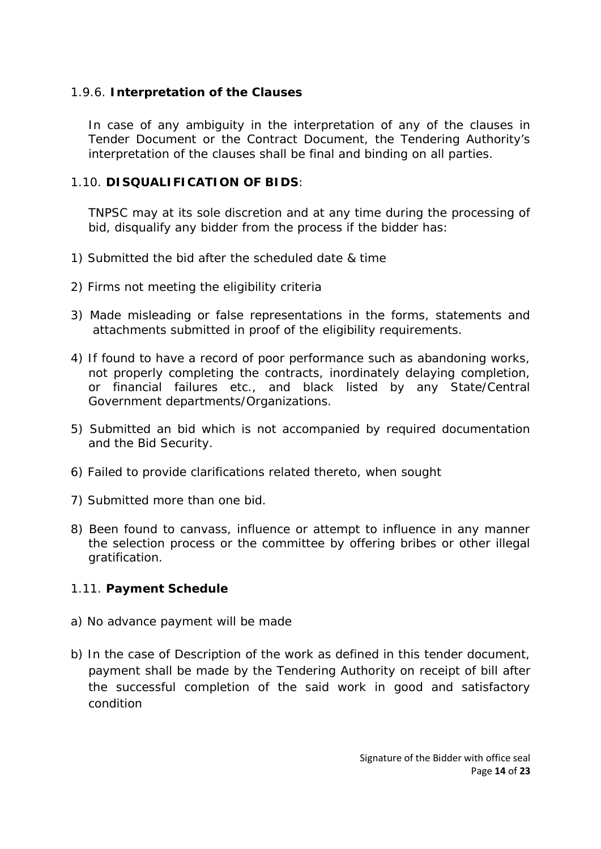1.9.6. **Interpretation of the Clauses**

In case of any ambiguity in the interpretation of any of the clauses in Tender Document or the Contract Document, the Tendering Authority's interpretation of the clauses shall be final and binding on all parties.

1.10. **DISQUALIFICATION OF BIDS**:

TNPSC may at its sole discretion and at any time during the processing of bid, disqualify any bidder from the process if the bidder has:

- 1) Submitted the bid after the scheduled date & time
- 2) Firms not meeting the eligibility criteria
- 3) Made misleading or false representations in the forms, statements and attachments submitted in proof of the eligibility requirements.
- 4) If found to have a record of poor performance such as abandoning works, not properly completing the contracts, inordinately delaying completion, or financial failures etc., and black listed by any State/Central Government departments/Organizations.
- 5) Submitted an bid which is not accompanied by required documentation and the Bid Security.
- 6) Failed to provide clarifications related thereto, when sought
- 7) Submitted more than one bid.
- 8) Been found to canvass, influence or attempt to influence in any manner the selection process or the committee by offering bribes or other illegal gratification.
- 1.11. **Payment Schedule**
- a) No advance payment will be made
- b) In the case of Description of the work as defined in this tender document, payment shall be made by the Tendering Authority on receipt of bill after the successful completion of the said work in good and satisfactory condition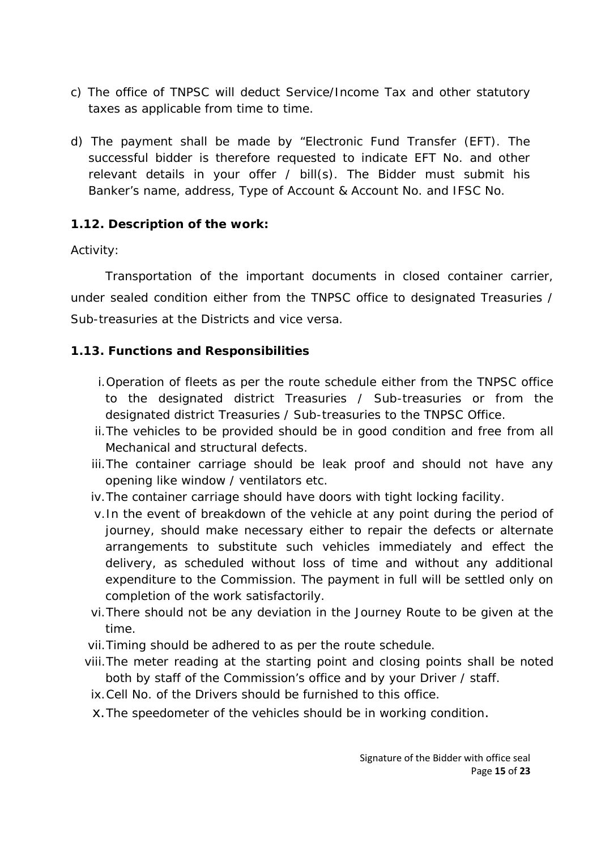- c) The office of TNPSC will deduct Service/Income Tax and other statutory taxes as applicable from time to time.
- d) The payment shall be made by "Electronic Fund Transfer (EFT). The successful bidder is therefore requested to indicate EFT No. and other relevant details in your offer / bill(s). The Bidder must submit his Banker's name, address, Type of Account & Account No. and IFSC No.
- **1.12. Description of the work:**

#### Activity:

Transportation of the important documents in closed container carrier, under sealed condition either from the TNPSC office to designated Treasuries / Sub-treasuries at the Districts and vice versa.

- **1.13. Functions and Responsibilities**
	- i.Operation of fleets as per the route schedule either from the TNPSC office to the designated district Treasuries / Sub-treasuries or from the designated district Treasuries / Sub-treasuries to the TNPSC Office.
	- ii.The vehicles to be provided should be in good condition and free from all Mechanical and structural defects.
	- iii.The container carriage should be leak proof and should not have any opening like window / ventilators etc.
	- iv.The container carriage should have doors with tight locking facility.
	- v.In the event of breakdown of the vehicle at any point during the period of journey, should make necessary either to repair the defects or alternate arrangements to substitute such vehicles immediately and effect the delivery, as scheduled without loss of time and without any additional expenditure to the Commission. The payment in full will be settled only on completion of the work satisfactorily.
	- vi.There should not be any deviation in the Journey Route to be given at the time.
	- vii.Timing should be adhered to as per the route schedule.
	- viii.The meter reading at the starting point and closing points shall be noted both by staff of the Commission's office and by your Driver / staff.
	- ix.Cell No. of the Drivers should be furnished to this office.
	- x.The speedometer of the vehicles should be in working condition.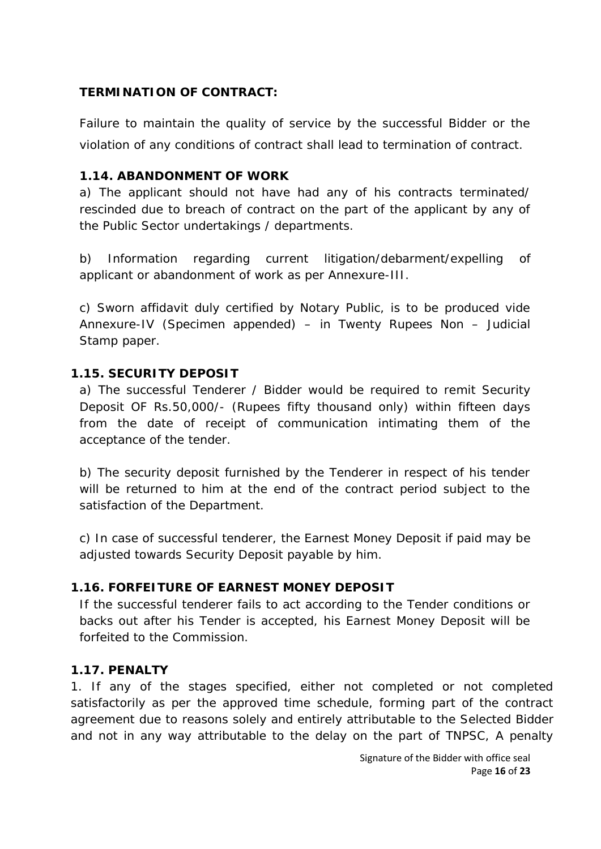## **TERMINATION OF CONTRACT:**

Failure to maintain the quality of service by the successful Bidder or the violation of any conditions of contract shall lead to termination of contract.

#### **1.14. ABANDONMENT OF WORK**

a) The applicant should not have had any of his contracts terminated/ rescinded due to breach of contract on the part of the applicant by any of the Public Sector undertakings / departments.

b) Information regarding current litigation/debarment/expelling of applicant or abandonment of work as per Annexure-III.

c) Sworn affidavit duly certified by Notary Public, is to be produced vide Annexure-IV (Specimen appended) – in Twenty Rupees Non – Judicial Stamp paper.

#### **1.15. SECURITY DEPOSIT**

a) The successful Tenderer / Bidder would be required to remit Security Deposit OF Rs.50,000/- (Rupees fifty thousand only) within fifteen days from the date of receipt of communication intimating them of the acceptance of the tender.

b) The security deposit furnished by the Tenderer in respect of his tender will be returned to him at the end of the contract period subject to the satisfaction of the Department.

c) In case of successful tenderer, the Earnest Money Deposit if paid may be adjusted towards Security Deposit payable by him.

## **1.16. FORFEITURE OF EARNEST MONEY DEPOSIT**

If the successful tenderer fails to act according to the Tender conditions or backs out after his Tender is accepted, his Earnest Money Deposit will be forfeited to the Commission.

#### **1.17. PENALTY**

1. If any of the stages specified, either not completed or not completed satisfactorily as per the approved time schedule, forming part of the contract agreement due to reasons solely and entirely attributable to the Selected Bidder and not in any way attributable to the delay on the part of TNPSC, A penalty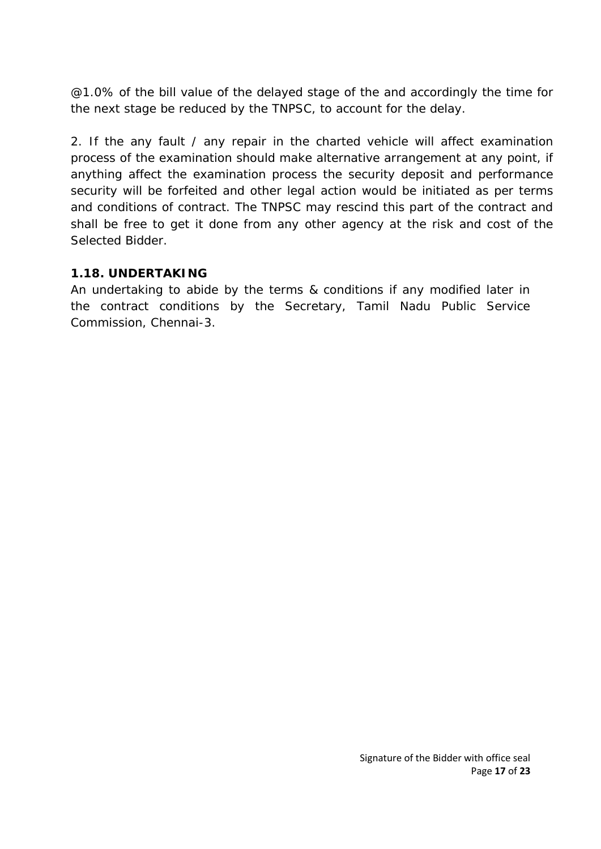@1.0% of the bill value of the delayed stage of the and accordingly the time for the next stage be reduced by the TNPSC, to account for the delay.

2. If the any fault / any repair in the charted vehicle will affect examination process of the examination should make alternative arrangement at any point, if anything affect the examination process the security deposit and performance security will be forfeited and other legal action would be initiated as per terms and conditions of contract. The TNPSC may rescind this part of the contract and shall be free to get it done from any other agency at the risk and cost of the Selected Bidder.

## **1.18. UNDERTAKING**

An undertaking to abide by the terms & conditions if any modified later in the contract conditions by the Secretary, Tamil Nadu Public Service Commission, Chennai-3.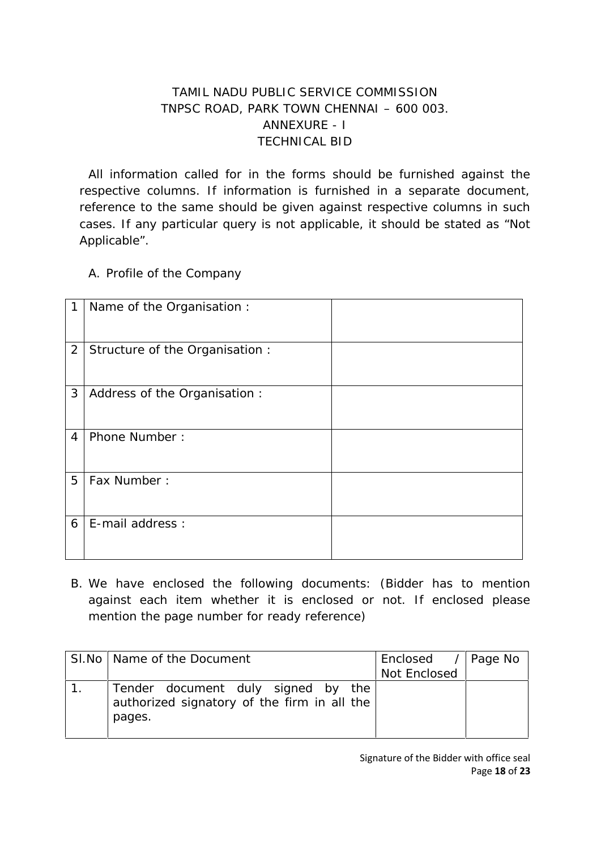## TAMIL NADU PUBLIC SERVICE COMMISSION TNPSC ROAD, PARK TOWN CHENNAI – 600 003. ANNEXURE - I TECHNICAL BID

All information called for in the forms should be furnished against the respective columns. If information is furnished in a separate document, reference to the same should be given against respective columns in such cases. If any particular query is not applicable, it should be stated as "Not Applicable".

A. Profile of the Company

| 1              | Name of the Organisation :      |  |
|----------------|---------------------------------|--|
| $\overline{2}$ | Structure of the Organisation : |  |
| 3              | Address of the Organisation :   |  |
| $\overline{4}$ | Phone Number:                   |  |
| 5              | Fax Number:                     |  |
| 6              | E-mail address :                |  |

B. We have enclosed the following documents: (Bidder has to mention against each item whether it is enclosed or not. If enclosed please mention the page number for ready reference)

| SI.No   Name of the Document                                                                | Enclosed / Page No |  |
|---------------------------------------------------------------------------------------------|--------------------|--|
|                                                                                             | Not Enclosed       |  |
| Tender document duly signed by the<br>authorized signatory of the firm in all the<br>pages. |                    |  |

Signature of the Bidder with office seal Page **18** of **23**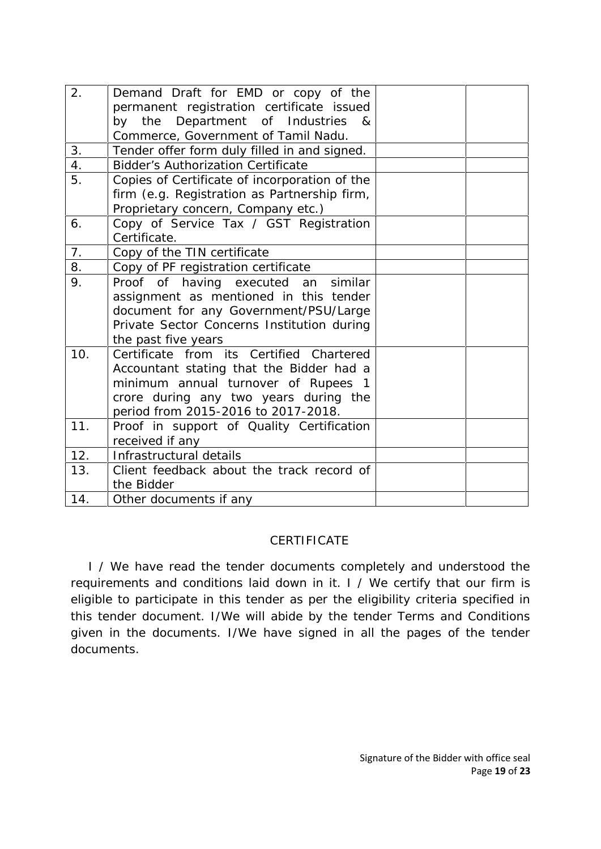| 2.             | Demand Draft for EMD or copy of the<br>permanent registration certificate issued<br>by the Department of Industries &<br>Commerce, Government of Tamil Nadu.                                                |  |
|----------------|-------------------------------------------------------------------------------------------------------------------------------------------------------------------------------------------------------------|--|
| 3.             | Tender offer form duly filled in and signed.                                                                                                                                                                |  |
| 4.             | <b>Bidder's Authorization Certificate</b>                                                                                                                                                                   |  |
| 5.             | Copies of Certificate of incorporation of the<br>firm (e.g. Registration as Partnership firm,<br>Proprietary concern, Company etc.)                                                                         |  |
| 6.             | Copy of Service Tax / GST Registration<br>Certificate.                                                                                                                                                      |  |
| 7 <sub>1</sub> | Copy of the TIN certificate                                                                                                                                                                                 |  |
| 8.             | Copy of PF registration certificate                                                                                                                                                                         |  |
| 9.             | Proof of having executed an similar<br>assignment as mentioned in this tender<br>document for any Government/PSU/Large<br>Private Sector Concerns Institution during<br>the past five years                 |  |
| 10.            | Certificate from its Certified Chartered<br>Accountant stating that the Bidder had a<br>minimum annual turnover of Rupees 1<br>crore during any two years during the<br>period from 2015-2016 to 2017-2018. |  |
| 11.            | Proof in support of Quality Certification<br>received if any                                                                                                                                                |  |
| 12.            | Infrastructural details                                                                                                                                                                                     |  |
| 13.            | Client feedback about the track record of<br>the Bidder                                                                                                                                                     |  |
| 14.            | Other documents if any                                                                                                                                                                                      |  |

#### CERTIFICATE

I / We have read the tender documents completely and understood the requirements and conditions laid down in it. I / We certify that our firm is eligible to participate in this tender as per the eligibility criteria specified in this tender document. I/We will abide by the tender Terms and Conditions given in the documents. I/We have signed in all the pages of the tender documents.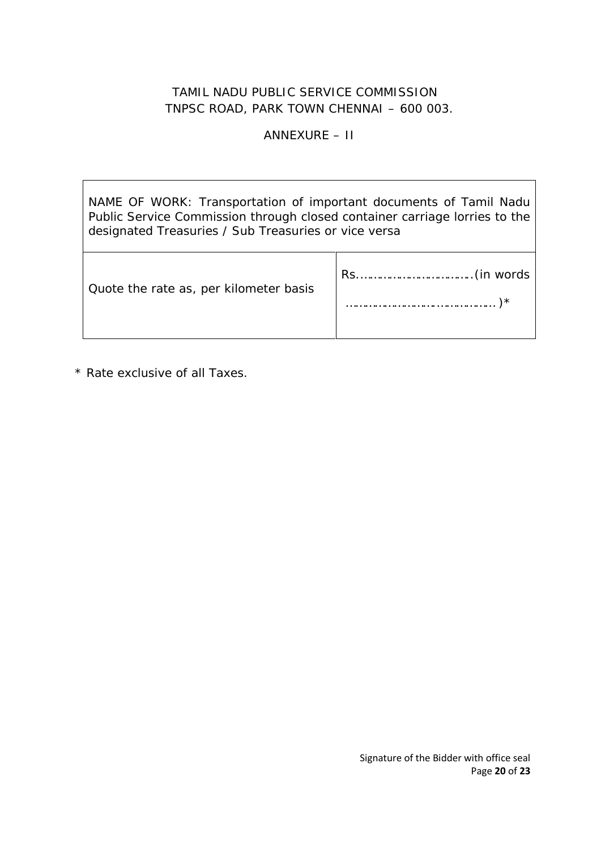## ANNEXURE – II

NAME OF WORK: Transportation of important documents of Tamil Nadu Public Service Commission through closed container carriage lorries to the designated Treasuries / Sub Treasuries or vice versa

| Quote the rate as, per kilometer basis |   |  |
|----------------------------------------|---|--|
|                                        | ∗ |  |

\* Rate exclusive of all Taxes.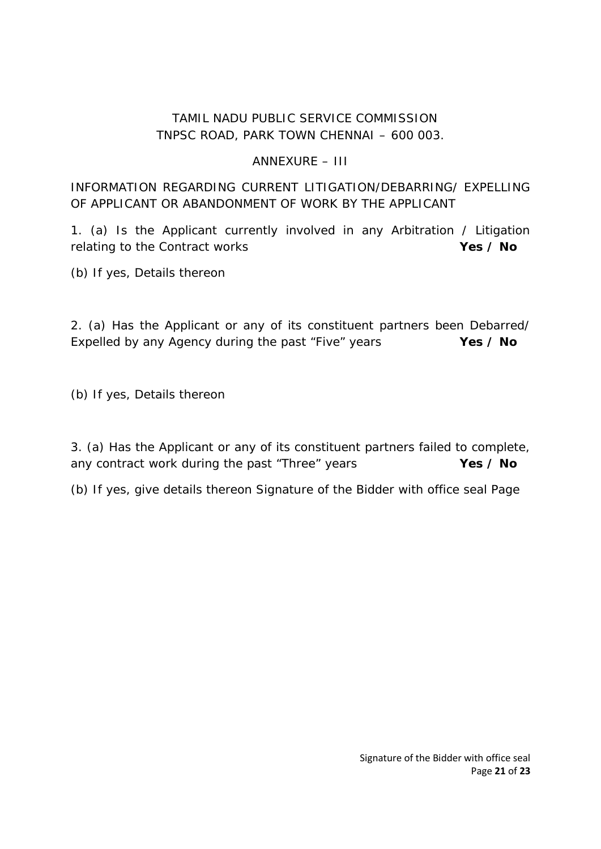## ANNEXURE – III

## INFORMATION REGARDING CURRENT LITIGATION/DEBARRING/ EXPELLING OF APPLICANT OR ABANDONMENT OF WORK BY THE APPLICANT

1. (a) Is the Applicant currently involved in any Arbitration / Litigation relating to the Contract works **Yes / No** 

(b) If yes, Details thereon

2. (a) Has the Applicant or any of its constituent partners been Debarred/ Expelled by any Agency during the past "Five" years **Yes / No**

(b) If yes, Details thereon

3. (a) Has the Applicant or any of its constituent partners failed to complete, any contract work during the past "Three" years **Yes / No** 

(b) If yes, give details thereon Signature of the Bidder with office seal Page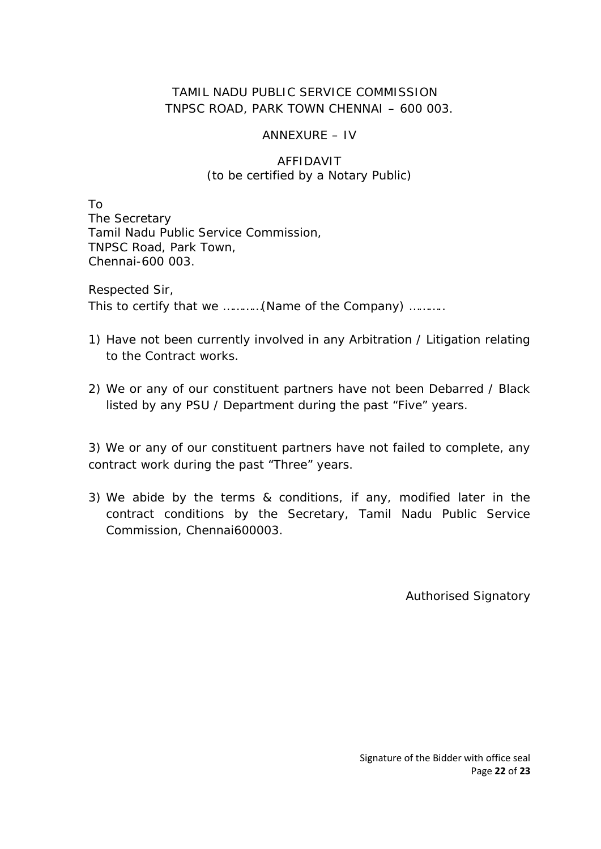## ANNEXURE – IV

## AFFIDAVIT (to be certified by a Notary Public)

To The Secretary Tamil Nadu Public Service Commission, TNPSC Road, Park Town, Chennai-600 003.

Respected Sir, This to certify that we …………(Name of the Company) ………..

- 1) Have not been currently involved in any Arbitration / Litigation relating to the Contract works.
- 2) We or any of our constituent partners have not been Debarred / Black listed by any PSU / Department during the past "Five" years.

3) We or any of our constituent partners have not failed to complete, any contract work during the past "Three" years.

3) We abide by the terms & conditions, if any, modified later in the contract conditions by the Secretary, Tamil Nadu Public Service Commission, Chennai600003.

Authorised Signatory